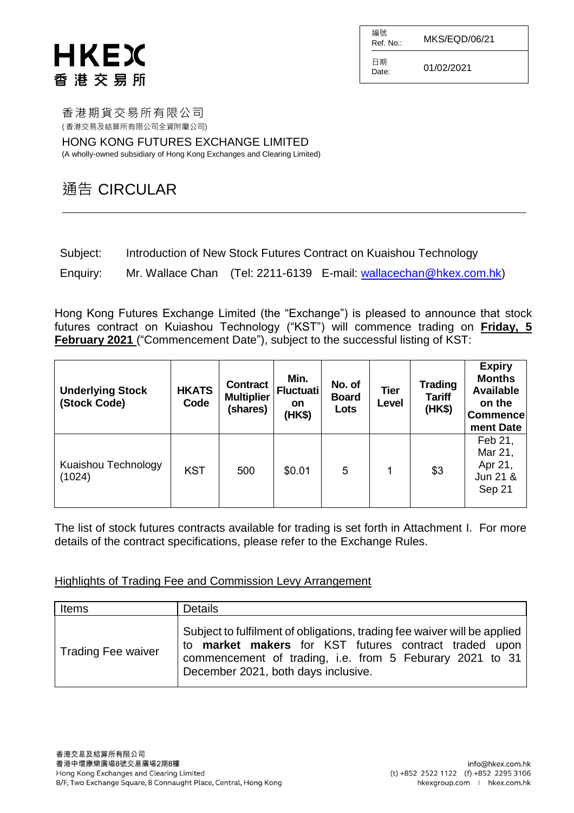# **HKEX** 香港交易所

編號  $R$ ef. No.: MKS/EQD/06/21 日期  $D_{\text{date}}$ : 01/02/2021

香港期貨交易所有限公司 ( 香港交易及結算所有限公司全資附屬公司)

HONG KONG FUTURES EXCHANGE LIMITED (A wholly-owned subsidiary of Hong Kong Exchanges and Clearing Limited)

### 通告 CIRCULAR

| Subject:<br>Introduction of New Stock Futures Contract on Kuaishou Technology |
|-------------------------------------------------------------------------------|
|-------------------------------------------------------------------------------|

Enquiry: Mr. Wallace Chan (Tel: 2211-6139 E-mail: [wallacechan@hkex.com.hk\)](mailto:wallacechan@hkex.com.hk)

Hong Kong Futures Exchange Limited (the "Exchange") is pleased to announce that stock futures contract on Kuiashou Technology ("KST") will commence trading on **Friday, 5 February 2021** ("Commencement Date"), subject to the successful listing of KST:

| <b>Underlying Stock</b><br>(Stock Code) | <b>HKATS</b><br>Code | <b>Contract</b><br><b>Multiplier</b><br>(shares) | Min.<br><b>Fluctuati</b><br><b>on</b><br>(HK\$) | No. of<br><b>Board</b><br>Lots | <b>Tier</b><br>Level | <b>Trading</b><br><b>Tariff</b><br>(HK\$) | <b>Expiry</b><br><b>Months</b><br><b>Available</b><br>on the<br><b>Commence</b><br>ment Date |
|-----------------------------------------|----------------------|--------------------------------------------------|-------------------------------------------------|--------------------------------|----------------------|-------------------------------------------|----------------------------------------------------------------------------------------------|
| Kuaishou Technology<br>(1024)           | <b>KST</b>           | 500                                              | \$0.01                                          | 5                              | 1                    | \$3                                       | Feb 21,<br>Mar 21,<br>Apr 21,<br>Jun 21 &<br>Sep 21                                          |

The list of stock futures contracts available for trading is set forth in Attachment I. For more details of the contract specifications, please refer to the Exchange Rules.

Highlights of Trading Fee and Commission Levy Arrangement

| Items              | <b>Details</b>                                                                                                                                                                                                                       |
|--------------------|--------------------------------------------------------------------------------------------------------------------------------------------------------------------------------------------------------------------------------------|
| Trading Fee waiver | Subject to fulfilment of obligations, trading fee waiver will be applied<br>to market makers for KST futures contract traded upon<br>commencement of trading, i.e. from 5 Feburary 2021 to 31<br>December 2021, both days inclusive. |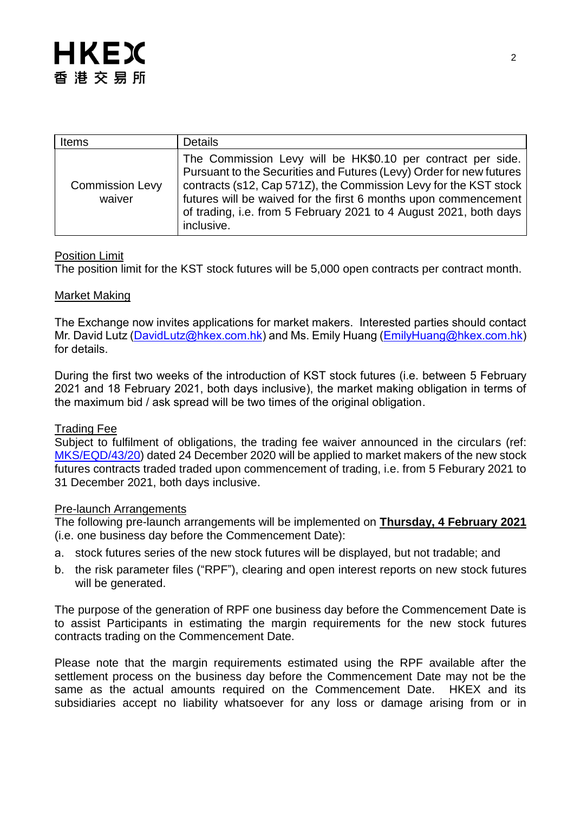| <b>Items</b>                     | <b>Details</b>                                                                                                                                                                                                                                                                                                                                               |
|----------------------------------|--------------------------------------------------------------------------------------------------------------------------------------------------------------------------------------------------------------------------------------------------------------------------------------------------------------------------------------------------------------|
| <b>Commission Levy</b><br>waiver | The Commission Levy will be HK\$0.10 per contract per side.<br>Pursuant to the Securities and Futures (Levy) Order for new futures<br>contracts (s12, Cap 571Z), the Commission Levy for the KST stock<br>futures will be waived for the first 6 months upon commencement<br>of trading, i.e. from 5 February 2021 to 4 August 2021, both days<br>inclusive. |

#### Position Limit

The position limit for the KST stock futures will be 5,000 open contracts per contract month.

#### Market Making

The Exchange now invites applications for market makers. Interested parties should contact Mr. David Lutz [\(DavidLutz@hkex.com.hk\)](mailto:DavidLutz@hkex.com.hk) and Ms. Emily Huang [\(EmilyHuang@hkex.com.hk\)](mailto:EmilyHuang@HKEX.COM.HK) for details.

During the first two weeks of the introduction of KST stock futures (i.e. between 5 February 2021 and 18 February 2021, both days inclusive), the market making obligation in terms of the maximum bid / ask spread will be two times of the original obligation.

#### Trading Fee

Subject to fulfilment of obligations, the trading fee waiver announced in the circulars (ref: [MKS/EQD/43/20\)](https://www.hkex.com.hk/-/media/HKEX-Market/Services/Circulars-and-Notices/Participant-and-Members-Circulars/HKFE/2020/MKS_EQD_43_20_e.pdf) dated 24 December 2020 will be applied to market makers of the new stock futures contracts traded traded upon commencement of trading, i.e. from 5 Feburary 2021 to 31 December 2021, both days inclusive.

#### Pre-launch Arrangements

The following pre-launch arrangements will be implemented on **Thursday, 4 February 2021** (i.e. one business day before the Commencement Date):

- a. stock futures series of the new stock futures will be displayed, but not tradable; and
- b. the risk parameter files ("RPF"), clearing and open interest reports on new stock futures will be generated.

The purpose of the generation of RPF one business day before the Commencement Date is to assist Participants in estimating the margin requirements for the new stock futures contracts trading on the Commencement Date.

Please note that the margin requirements estimated using the RPF available after the settlement process on the business day before the Commencement Date may not be the same as the actual amounts required on the Commencement Date. HKEX and its subsidiaries accept no liability whatsoever for any loss or damage arising from or in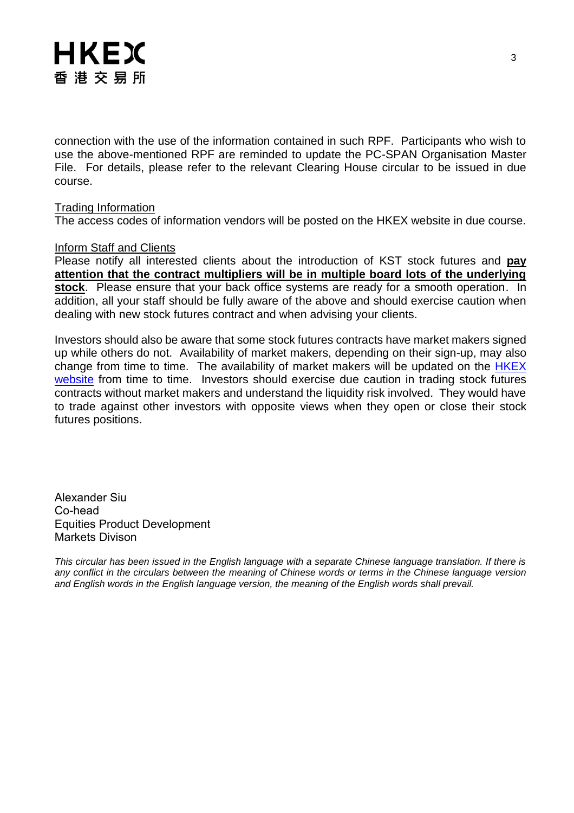connection with the use of the information contained in such RPF. Participants who wish to use the above-mentioned RPF are reminded to update the PC-SPAN Organisation Master File. For details, please refer to the relevant Clearing House circular to be issued in due course.

#### Trading Information

The access codes of information vendors will be posted on the HKEX website in due course.

#### Inform Staff and Clients

Please notify all interested clients about the introduction of KST stock futures and **pay attention that the contract multipliers will be in multiple board lots of the underlying stock**. Please ensure that your back office systems are ready for a smooth operation. In addition, all your staff should be fully aware of the above and should exercise caution when dealing with new stock futures contract and when advising your clients.

Investors should also be aware that some stock futures contracts have market makers signed up while others do not. Availability of market makers, depending on their sign-up, may also change from time to time. The availability of market makers will be updated on the HKEX [website](http://www.hkex.com.hk/Products/Listed-Derivatives/Single-Stock/Stock-Futures?sc_lang=en) from time to time. Investors should exercise due caution in trading stock futures contracts without market makers and understand the liquidity risk involved. They would have to trade against other investors with opposite views when they open or close their stock futures positions.

Alexander Siu Co-head Equities Product Development Markets Divison

*This circular has been issued in the English language with a separate Chinese language translation. If there is any conflict in the circulars between the meaning of Chinese words or terms in the Chinese language version and English words in the English language version, the meaning of the English words shall prevail.*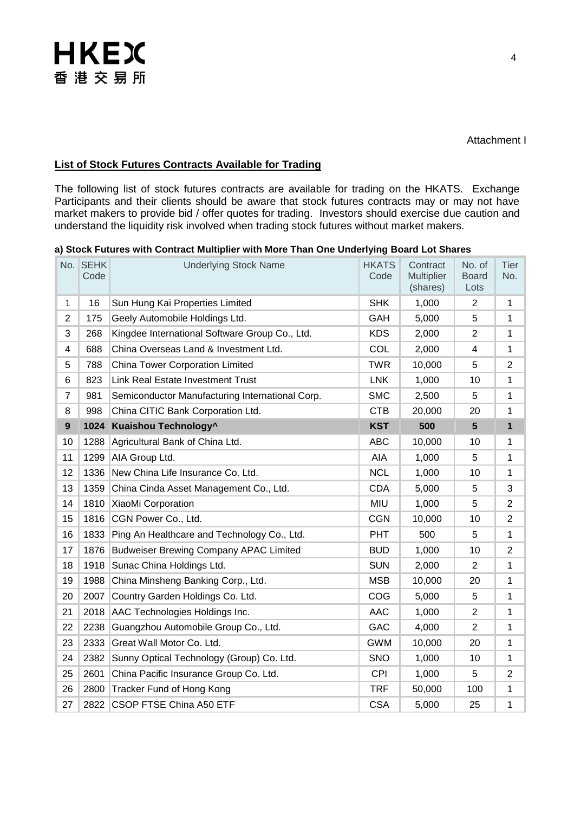### **List of Stock Futures Contracts Available for Trading**

The following list of stock futures contracts are available for trading on the HKATS. Exchange Participants and their clients should be aware that stock futures contracts may or may not have market makers to provide bid / offer quotes for trading. Investors should exercise due caution and understand the liquidity risk involved when trading stock futures without market makers.

| a) Stock Futures with Contract Multiplier with More Than One Underlying Board Lot Shares |  |
|------------------------------------------------------------------------------------------|--|
|------------------------------------------------------------------------------------------|--|

|                | No. SEHK<br>Code | <b>HKATS</b><br><b>Underlying Stock Name</b><br>Contract<br><b>Multiplier</b><br>Code<br>(shares) |            |        | No. of<br><b>Board</b><br>Lots | <b>Tier</b><br>No. |
|----------------|------------------|---------------------------------------------------------------------------------------------------|------------|--------|--------------------------------|--------------------|
| $\mathbf{1}$   | 16               | Sun Hung Kai Properties Limited                                                                   | <b>SHK</b> | 1,000  | $\overline{2}$                 | 1                  |
| $\overline{2}$ | 175              | Geely Automobile Holdings Ltd.                                                                    | GAH        | 5,000  | 5                              | 1                  |
| 3              | 268              | Kingdee International Software Group Co., Ltd.                                                    | <b>KDS</b> | 2,000  | $\overline{2}$                 | 1                  |
| 4              | 688              | China Overseas Land & Investment Ltd.                                                             | COL        | 2,000  | 4                              | 1                  |
| 5              | 788              | China Tower Corporation Limited                                                                   | <b>TWR</b> | 10,000 | 5                              | $\overline{2}$     |
| 6              | 823              | <b>Link Real Estate Investment Trust</b>                                                          | <b>LNK</b> | 1,000  | 10                             | 1                  |
| $\overline{7}$ | 981              | Semiconductor Manufacturing International Corp.                                                   | <b>SMC</b> | 2,500  | 5                              | 1                  |
| 8              | 998              | China CITIC Bank Corporation Ltd.                                                                 | <b>CTB</b> | 20,000 | 20                             | 1                  |
| 9              |                  | 1024 Kuaishou Technology^                                                                         | <b>KST</b> | 500    | $5\phantom{1}$                 | $\mathbf{1}$       |
| 10             | 1288             | Agricultural Bank of China Ltd.                                                                   | <b>ABC</b> | 10,000 | 10                             | 1                  |
| 11             | 1299             | AIA Group Ltd.                                                                                    | AIA        | 1,000  | 5                              | 1                  |
| 12             | 1336             | New China Life Insurance Co. Ltd.                                                                 | <b>NCL</b> | 1,000  | 10                             | 1                  |
| 13             | 1359             | China Cinda Asset Management Co., Ltd.                                                            | <b>CDA</b> | 5,000  | 5                              | 3                  |
| 14             | 1810             | XiaoMi Corporation                                                                                | <b>MIU</b> | 1,000  | 5                              | $\overline{2}$     |
| 15             | 1816             | CGN Power Co., Ltd.                                                                               | <b>CGN</b> | 10,000 | 10                             | $\overline{2}$     |
| 16             | 1833             | Ping An Healthcare and Technology Co., Ltd.                                                       | <b>PHT</b> | 500    | 5                              | 1                  |
| 17             | 1876             | <b>Budweiser Brewing Company APAC Limited</b>                                                     | <b>BUD</b> | 1,000  | 10                             | $\overline{2}$     |
| 18             | 1918             | Sunac China Holdings Ltd.                                                                         | <b>SUN</b> | 2,000  | $\overline{2}$                 | 1                  |
| 19             | 1988             | China Minsheng Banking Corp., Ltd.                                                                | <b>MSB</b> | 10,000 | 20                             | 1                  |
| 20             | 2007             | Country Garden Holdings Co. Ltd.                                                                  | COG        | 5,000  | 5                              | 1                  |
| 21             | 2018             | AAC Technologies Holdings Inc.                                                                    | <b>AAC</b> | 1,000  | $\overline{2}$                 | 1                  |
| 22             | 2238             | Guangzhou Automobile Group Co., Ltd.                                                              | <b>GAC</b> | 4,000  | $\overline{2}$                 | 1                  |
| 23             | 2333             | Great Wall Motor Co. Ltd.                                                                         | <b>GWM</b> | 10,000 | 20                             | 1                  |
| 24             | 2382             | Sunny Optical Technology (Group) Co. Ltd.                                                         | <b>SNO</b> | 1,000  | 10                             | 1                  |
| 25             | 2601             | China Pacific Insurance Group Co. Ltd.                                                            | <b>CPI</b> | 1,000  | 5                              | $\overline{2}$     |
| 26             | 2800             | Tracker Fund of Hong Kong                                                                         | <b>TRF</b> | 50,000 | 100                            | 1                  |
| 27             | 2822             | CSOP FTSE China A50 ETF                                                                           | <b>CSA</b> | 5,000  | 25                             | 1                  |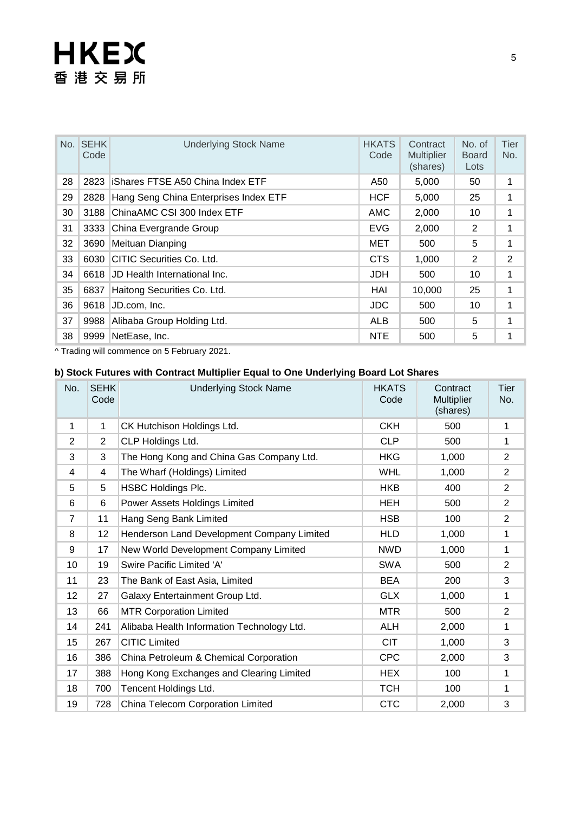# **HKEX** 香港交易所

|    | No. SEHK<br>Code | <b>Underlying Stock Name</b>          | <b>HKATS</b><br>Code | Contract<br><b>Multiplier</b><br>(shares) | No. of<br><b>Board</b><br>Lots | Tier<br>No. |
|----|------------------|---------------------------------------|----------------------|-------------------------------------------|--------------------------------|-------------|
| 28 | 2823             | iShares FTSE A50 China Index ETF      | A50                  | 5,000                                     | 50                             | 1           |
| 29 | 2828             | Hang Seng China Enterprises Index ETF | <b>HCF</b>           | 5,000                                     | 25                             | 1           |
| 30 | 3188             | ChinaAMC CSI 300 Index ETF            | AMC                  | 2,000                                     | 10                             | 1           |
| 31 | 3333             | China Evergrande Group                | EVG                  | 2,000                                     | 2                              | 1           |
| 32 | 3690             | Meituan Dianping                      | MET                  | 500                                       | 5                              | 1           |
| 33 | 6030             | CITIC Securities Co. Ltd.             | <b>CTS</b>           | 1,000                                     | 2                              | 2           |
| 34 | 6618             | JD Health International Inc.          | <b>JDH</b>           | 500                                       | 10                             | 1           |
| 35 | 6837             | Haitong Securities Co. Ltd.           | HAI                  | 10,000                                    | 25                             | 1           |
| 36 | 9618             | JD.com, Inc.                          | JDC.                 | 500                                       | 10                             | 1           |
| 37 | 9988             | Alibaba Group Holding Ltd.            | <b>ALB</b>           | 500                                       | 5                              | 1           |
| 38 | 9999             | NetEase, Inc.                         | <b>NTE</b>           | 500                                       | 5                              | 1           |

^ Trading will commence on 5 February 2021.

### **b) Stock Futures with Contract Multiplier Equal to One Underlying Board Lot Shares**

| No. | <b>SEHK</b><br>Code | <b>Underlying Stock Name</b>               | <b>HKATS</b><br>Code | Contract<br><b>Multiplier</b><br>(shares) | Tier<br>No.    |
|-----|---------------------|--------------------------------------------|----------------------|-------------------------------------------|----------------|
| 1   | 1                   | CK Hutchison Holdings Ltd.                 | <b>CKH</b>           | 500                                       | 1              |
| 2   | 2                   | CLP Holdings Ltd.                          | <b>CLP</b>           | 500                                       | 1              |
| 3   | 3                   | The Hong Kong and China Gas Company Ltd.   | <b>HKG</b>           | 1,000                                     | $\overline{2}$ |
| 4   | 4                   | The Wharf (Holdings) Limited               | <b>WHL</b>           | 1,000                                     | $\overline{2}$ |
| 5   | 5                   | <b>HSBC Holdings Plc.</b>                  | <b>HKB</b>           | 400                                       | $\overline{2}$ |
| 6   | 6                   | Power Assets Holdings Limited              | <b>HEH</b>           | 500                                       | $\overline{2}$ |
| 7   | 11                  | Hang Seng Bank Limited                     | <b>HSB</b>           | 100                                       | $\overline{2}$ |
| 8   | 12                  | Henderson Land Development Company Limited | <b>HLD</b>           | 1,000                                     | 1              |
| 9   | 17                  | New World Development Company Limited      | <b>NWD</b>           | 1,000                                     | 1              |
| 10  | 19                  | Swire Pacific Limited 'A'                  | <b>SWA</b>           | 500                                       | $\overline{2}$ |
| 11  | 23                  | The Bank of East Asia, Limited             | <b>BEA</b>           | 200                                       | 3              |
| 12  | 27                  | Galaxy Entertainment Group Ltd.            | <b>GLX</b>           | 1,000                                     | 1              |
| 13  | 66                  | <b>MTR Corporation Limited</b>             | <b>MTR</b>           | 500                                       | $\overline{2}$ |
| 14  | 241                 | Alibaba Health Information Technology Ltd. | <b>ALH</b>           | 2,000                                     | 1              |
| 15  | 267                 | <b>CITIC Limited</b>                       | <b>CIT</b>           | 1,000                                     | 3              |
| 16  | 386                 | China Petroleum & Chemical Corporation     | <b>CPC</b>           | 2,000                                     | 3              |
| 17  | 388                 | Hong Kong Exchanges and Clearing Limited   | <b>HEX</b>           | 100                                       | 1              |
| 18  | 700                 | Tencent Holdings Ltd.                      | <b>TCH</b>           | 100                                       | 1              |
| 19  | 728                 | China Telecom Corporation Limited          | <b>CTC</b>           | 2,000                                     | 3              |